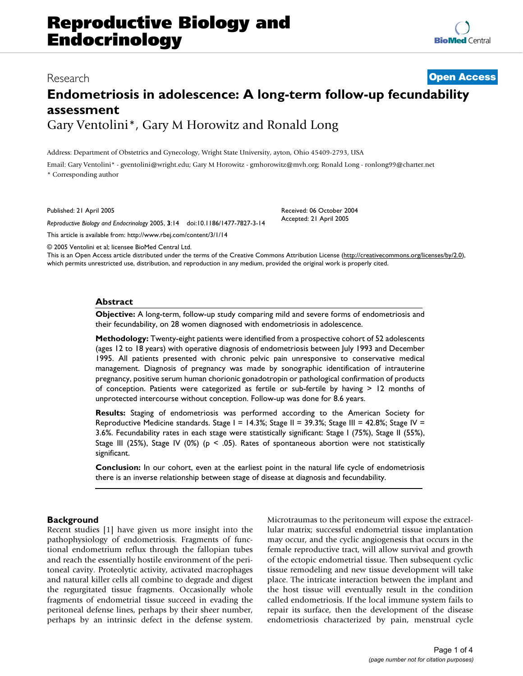# Research **[Open Access](http://www.biomedcentral.com/info/about/charter/) Endometriosis in adolescence: A long-term follow-up fecundability assessment** Gary Ventolini\*, Gary M Horowitz and Ronald Long

Address: Department of Obstetrics and Gynecology, Wright State University, ayton, Ohio 45409-2793, USA

Email: Gary Ventolini\* - gventolini@wright.edu; Gary M Horowitz - gmhorowitz@mvh.org; Ronald Long - ronlong99@charter.net \* Corresponding author

Published: 21 April 2005

*Reproductive Biology and Endocrinology* 2005, **3**:14 doi:10.1186/1477-7827-3-14

[This article is available from: http://www.rbej.com/content/3/1/14](http://www.rbej.com/content/3/1/14)

© 2005 Ventolini et al; licensee BioMed Central Ltd.

This is an Open Access article distributed under the terms of the Creative Commons Attribution License [\(http://creativecommons.org/licenses/by/2.0\)](http://creativecommons.org/licenses/by/2.0), which permits unrestricted use, distribution, and reproduction in any medium, provided the original work is properly cited.

Received: 06 October 2004 Accepted: 21 April 2005

#### **Abstract**

**Objective:** A long-term, follow-up study comparing mild and severe forms of endometriosis and their fecundability, on 28 women diagnosed with endometriosis in adolescence.

**Methodology:** Twenty-eight patients were identified from a prospective cohort of 52 adolescents (ages 12 to 18 years) with operative diagnosis of endometriosis between July 1993 and December 1995. All patients presented with chronic pelvic pain unresponsive to conservative medical management. Diagnosis of pregnancy was made by sonographic identification of intrauterine pregnancy, positive serum human chorionic gonadotropin or pathological confirmation of products of conception. Patients were categorized as fertile or sub-fertile by having > 12 months of unprotected intercourse without conception. Follow-up was done for 8.6 years.

**Results:** Staging of endometriosis was performed according to the American Society for Reproductive Medicine standards. Stage  $I = 14.3\%$ ; Stage II = 39.3%; Stage III = 42.8%; Stage IV = 3.6%. Fecundability rates in each stage were statistically significant: Stage I (75%), Stage II (55%), Stage III (25%), Stage IV (0%) ( $p \le 0.05$ ). Rates of spontaneous abortion were not statistically significant.

**Conclusion:** In our cohort, even at the earliest point in the natural life cycle of endometriosis there is an inverse relationship between stage of disease at diagnosis and fecundability.

# **Background**

Recent studies [1] have given us more insight into the pathophysiology of endometriosis. Fragments of functional endometrium reflux through the fallopian tubes and reach the essentially hostile environment of the peritoneal cavity. Proteolytic activity, activated macrophages and natural killer cells all combine to degrade and digest the regurgitated tissue fragments. Occasionally whole fragments of endometrial tissue succeed in evading the peritoneal defense lines, perhaps by their sheer number, perhaps by an intrinsic defect in the defense system. Microtraumas to the peritoneum will expose the extracellular matrix; successful endometrial tissue implantation may occur, and the cyclic angiogenesis that occurs in the female reproductive tract, will allow survival and growth of the ectopic endometrial tissue. Then subsequent cyclic tissue remodeling and new tissue development will take place. The intricate interaction between the implant and the host tissue will eventually result in the condition called endometriosis. If the local immune system fails to repair its surface, then the development of the disease endometriosis characterized by pain, menstrual cycle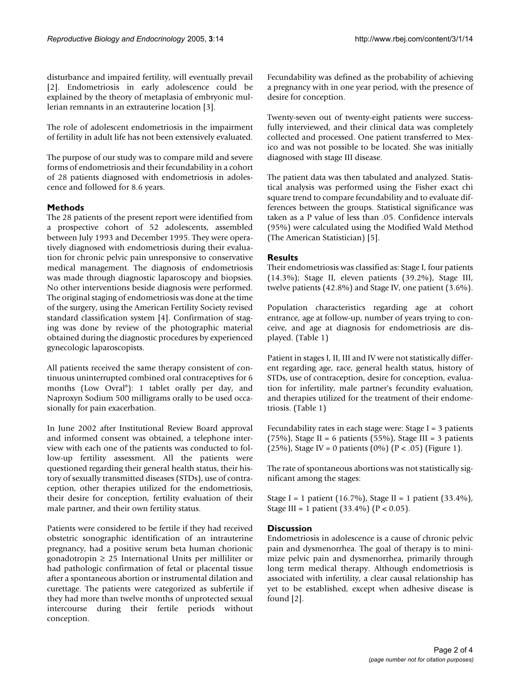disturbance and impaired fertility, will eventually prevail [2]. Endometriosis in early adolescence could be explained by the theory of metaplasia of embryonic mullerian remnants in an extrauterine location [3].

The role of adolescent endometriosis in the impairment of fertility in adult life has not been extensively evaluated.

The purpose of our study was to compare mild and severe forms of endometriosis and their fecundability in a cohort of 28 patients diagnosed with endometriosis in adolescence and followed for 8.6 years.

# **Methods**

The 28 patients of the present report were identified from a prospective cohort of 52 adolescents, assembled between July 1993 and December 1995. They were operatively diagnosed with endometriosis during their evaluation for chronic pelvic pain unresponsive to conservative medical management. The diagnosis of endometriosis was made through diagnostic laparoscopy and biopsies. No other interventions beside diagnosis were performed. The original staging of endometriosis was done at the time of the surgery, using the American Fertility Society revised standard classification system [4]. Confirmation of staging was done by review of the photographic material obtained during the diagnostic procedures by experienced gynecologic laparoscopists.

All patients received the same therapy consistent of continuous uninterrupted combined oral contraceptives for 6 months (Low Ovral®): 1 tablet orally per day, and Naproxyn Sodium 500 milligrams orally to be used occasionally for pain exacerbation.

In June 2002 after Institutional Review Board approval and informed consent was obtained, a telephone interview with each one of the patients was conducted to follow-up fertility assessment. All the patients were questioned regarding their general health status, their history of sexually transmitted diseases (STDs), use of contraception, other therapies utilized for the endometriosis, their desire for conception, fertility evaluation of their male partner, and their own fertility status.

Patients were considered to be fertile if they had received obstetric sonographic identification of an intrauterine pregnancy, had a positive serum beta human chorionic gonadotropin  $\geq 25$  International Units per milliliter or had pathologic confirmation of fetal or placental tissue after a spontaneous abortion or instrumental dilation and curettage. The patients were categorized as subfertile if they had more than twelve months of unprotected sexual intercourse during their fertile periods without conception.

Fecundability was defined as the probability of achieving a pregnancy with in one year period, with the presence of desire for conception.

Twenty-seven out of twenty-eight patients were successfully interviewed, and their clinical data was completely collected and processed. One patient transferred to Mexico and was not possible to be located. She was initially diagnosed with stage III disease.

The patient data was then tabulated and analyzed. Statistical analysis was performed using the Fisher exact chi square trend to compare fecundability and to evaluate differences between the groups. Statistical significance was taken as a P value of less than .05. Confidence intervals (95%) were calculated using the Modified Wald Method (The American Statistician) [5].

# **Results**

Their endometriosis was classified as: Stage I, four patients (14.3%); Stage II, eleven patients (39.2%), Stage III, twelve patients (42.8%) and Stage IV, one patient (3.6%).

Population characteristics regarding age at cohort entrance, age at follow-up, number of years trying to conceive, and age at diagnosis for endometriosis are displayed. (Table [1\)](#page-2-0)

Patient in stages I, II, III and IV were not statistically different regarding age, race, general health status, history of STDs, use of contraception, desire for conception, evaluation for infertility, male partner's fecundity evaluation, and therapies utilized for the treatment of their endometriosis. (Table [1](#page-2-0))

Fecundability rates in each stage were: Stage I = 3 patients (75%), Stage II = 6 patients (55%), Stage III = 3 patients (25%), Stage IV = 0 patients (0%) ( $P < .05$ ) (Figure 1).

The rate of spontaneous abortions was not statistically significant among the stages:

Stage I = 1 patient (16.7%), Stage II = 1 patient (33.4%), Stage III = 1 patient  $(33.4\%)$  (P < 0.05).

# **Discussion**

Endometriosis in adolescence is a cause of chronic pelvic pain and dysmenorrhea. The goal of therapy is to minimize pelvic pain and dysmenorrhea, primarily through long term medical therapy. Although endometriosis is associated with infertility, a clear causal relationship has yet to be established, except when adhesive disease is found [2].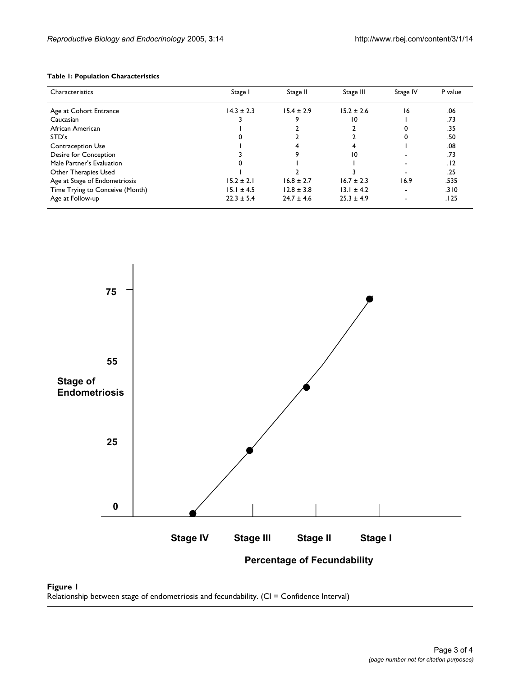# <span id="page-2-0"></span>**Table 1: Population Characteristics**

| Characteristics                 | Stage I        | Stage II       | Stage III      | Stage IV | P value |
|---------------------------------|----------------|----------------|----------------|----------|---------|
| Age at Cohort Entrance          | $14.3 \pm 2.3$ | $15.4 \pm 2.9$ | $15.2 \pm 2.6$ | 16       | .06     |
| Caucasian                       |                |                | 10             |          | .73     |
| African American                |                |                |                |          | .35     |
| STD's                           |                |                |                |          | .50     |
| <b>Contraception Use</b>        |                |                |                |          | .08     |
| Desire for Conception           |                |                | 10             |          | .73     |
| Male Partner's Evaluation       |                |                |                |          | .12     |
| Other Therapies Used            |                |                |                |          | .25     |
| Age at Stage of Endometriosis   | $15.2 \pm 2.1$ | $16.8 \pm 2.7$ | $16.7 \pm 2.3$ | 16.9     | .535    |
| Time Trying to Conceive (Month) | $15.1 \pm 4.5$ | $12.8 \pm 3.8$ | $13.1 \pm 4.2$ | ۰.       | .310    |
| Age at Follow-up                | $22.3 \pm 5.4$ | $24.7 \pm 4.6$ | $25.3 \pm 4.9$ |          | .125    |



**Figure 1** Relationship between stage of endometriosis and fecundability. (CI = Confidence Interval)